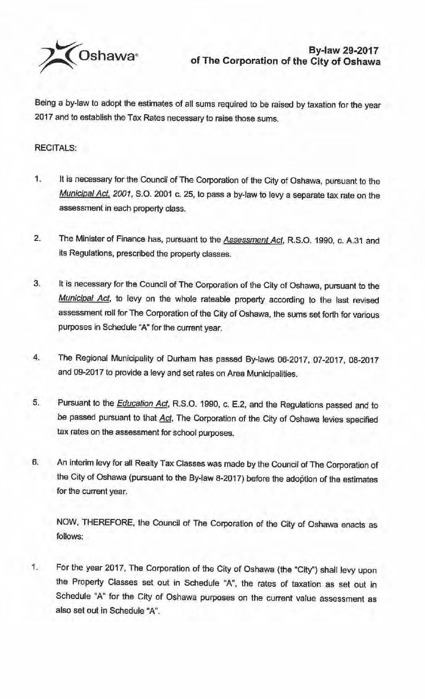

Being a by-law to adopt the estimates of all sums required to be raised by taxation for the year 2017 and to establish the Tax Rates necessary to raise those sums.

## RECITALS:

- 1. It is necessary for the Council of The Corporation of the City of Oshawa, pursuant to the Municipal Act, 2001, S.O. 2001 c. 25, to pass a by-law to levy a separate tax rate on the assessment in each property class.
- 2. The Minister of Finance has, pursuant to the **Assessment Act**, R.S.O. 1990, c. A.31 and its Regulations, prescribed the property classes.
- 3. It is necessary for the Council of The Corporation of the City of Oshawa, pursuant to the Municipal Act, to levy on the whole rateable property according to the last revised assessment roll for The Corporation of the City of Oshawa, the sums set forth for various purposes in Schedule "A" for the current year.
- 4. The Regional Municipality of Durham has passed By-laws 06-2017, 07-2017, 08-2017 and 09-2017 to provide a levy and set rates on Area Municipalities.
- 5. Pursuant to the *Education Act*, R.S.O. 1990, c. E.2, and the Regulations passed and to be passed pursuant to that Act, The Corporation of the City of Oshawa levies specified tax rates on the assessment for school purposes.
- 6. An interim levy for all Realty Tax Classes was made by the Council ofThe Corporation of the City of Oshawa (pursuant to the By-law 8-2017) before the adoption of the estimates for the current year.

NOW, THEREFORE, the Council of The Corporation of the City of Oshawa enacts as follows:

1. For the year 2017, The Corporation of the City of Oshawa (the "City") shall levy upon the Property Classes set out in Schedule "A", the rates of taxation as set out in Schedule "A" for the City of Oshawa purposes on the current value assessment as also set out in Schedule "A".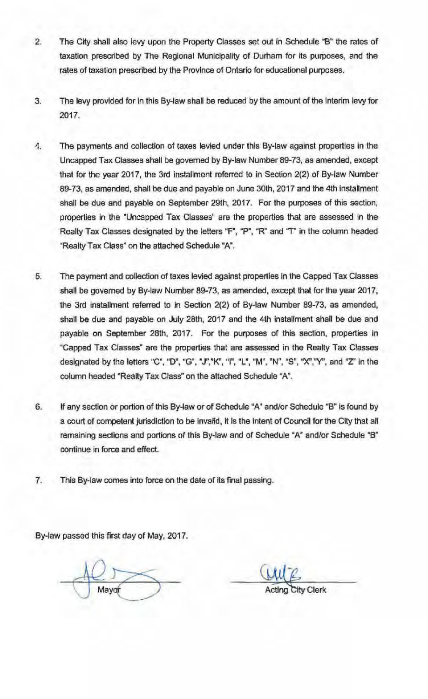- 2. The City shall also levy upon the Property Classes set out in Schedule "B" the rates of taxation prescribed by The Regional Municipality of Durham for its purposes, and the rates of taxation prescribed by the Province of Ontario for educational purposes.
- 3. The levy provided for in this By-law shall be reduced by the amount of the interim levy for 2017.
- 4. The payments and collection of taxes levied under this By-law against properties in the Uncapped Tax Classes shall be governed by By-law Number 89-73, as amended, except that for the year 2017, the 3rd installment referred to in Section 2(2) of By-law Number 89-73, as amended, shall be due and payable on June 30th, 2017 and the 4th installment shall be due and payable on September 29th, 2017. For the purposes of this section, properties in the "Uncapped Tax Classes" are the properties that are assessed in the Realty Tax Classes designated by the letters "F", "P", "R" and "T" in the column headed "Realty Tax Class" on the attached Schedule "A".
- 5. The payment and collection of taxes levied against properties in the Capped Tax Classes shall be governed by By-law Number 89-73, as amended, except that for the year 2017, the 3rd installment referred to in Section 2(2) of By-law Number 89-73, as amended, shall be due and payable on July 28th, 2017 and the 4th installment shall be due and payable on September 28th, 2017. For the purposes of this section, properties in "Capped Tax Classes" are the properties that are assessed in the Realty Tax Classes designated by the letters "C", "D", "G", "J","K", "I", "L", "M", "N", "S", "X","Y", and "Z" in the column headed "Realty Tax Class" on the attached Schedule "A".
- 6. If any section or portion of this By-law or of Schedule "A" and/or Schedule **"8"** is found by a court of competent jurisdiction to be invalid, it is the intent of Council for the City that all remaining sections and portions of this By-law and of Schedule "A" and/or Schedule "B" continue in force and effect.
- 7. This By-law comes into force on the date of its final passing.

By-law passed this first day of May, 2017.

*City* Clerk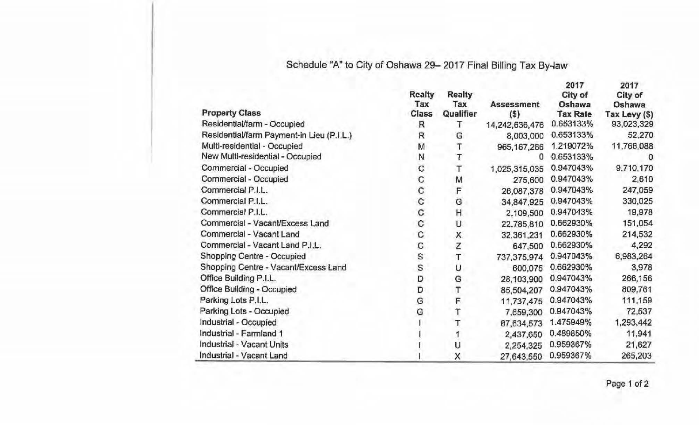## Schedule "A" to City of Oshawa 29- 2017 Final Billing Tax By-law

|                                           | <b>Realty</b> | <b>Realty</b>           |                   | 2017<br>City of | 2017<br>City of |
|-------------------------------------------|---------------|-------------------------|-------------------|-----------------|-----------------|
| <b>Property Class</b>                     | Tax           | Tax                     | <b>Assessment</b> | Oshawa          | Oshawa          |
|                                           | Class         | Qualifier               | $($ \$)           | <b>Tax Rate</b> | Tax Levy (\$)   |
| Residential/farm - Occupied               | R             | Ŧ                       | 14,242,636,476    | 0.653133%       | 93,023,329      |
| Residential/farm Payment-in Lieu (P.I.L.) | $\mathsf{R}$  | G                       | 8,003,000         | 0.653133%       | 52,270          |
| Multi-residential - Occupied              | M             | Т                       | 965, 167, 286     | 1.219072%       | 11,766,088      |
| New Multi-residential - Occupied          | N             | τ                       | 0                 | 0.653133%       | O               |
| Commercial - Occupied                     | $\mathbf C$   | т                       | 1,025,315,035     | 0.947043%       | 9,710,170       |
| Commercial - Occupied                     | C             | M                       | 275,600           | 0.947043%       | 2,610           |
| Commercial P.I.L.                         | $\mathbf C$   | F                       | 26,087,378        | 0.947043%       | 247,059         |
| Commercial P.I.L.                         | $\mathbf C$   | G                       | 34,847,925        | 0.947043%       | 330,025         |
| Commercial P.I.L.                         | $\mathbf C$   | H                       | 2,109,500         | 0.947043%       | 19,978          |
| Commercial - Vacant/Excess Land           | $\mathbf C$   | υ                       | 22,785,810        | 0.662930%       | 151,054         |
| Commercial - Vacant Land                  | C             | X.                      | 32,361,231        | 0.662930%       | 214,532         |
| Commercial - Vacant Land P.I.L.           | C             | Z                       | 647,500           | 0.662930%       | 4,292           |
| Shopping Centre - Occupied                | $\mathbf S$   | $\overline{\mathsf{T}}$ | 737, 375, 974     | 0.947043%       | 6,983,264       |
| Shopping Centre - Vacant/Excess Land      | S             | U                       | 600,075           | 0.662930%       | 3,978           |
| Office Building P.I.L.                    | D             | G                       | 28,103,900        | 0.947043%       | 266,156         |
| <b>Office Building - Occupied</b>         | D             | Τ                       | 85,504,207        | 0.947043%       | 809,761         |
| Parking Lots P.I.L.                       | G             | F                       | 11,737,475        | 0.947043%       | 111,159         |
| Parking Lots - Occupied                   | G             |                         | 7,659,300         | 0.947043%       | 72,537          |
| Industrial - Occupied                     |               |                         | 87,634,573        | 1.475949%       | 1,293,442       |
| Industrial - Farmland 1                   |               |                         | 2,437,650         | 0.489850%       | 11,941          |
| Industrial - Vacant Units                 |               | U                       | 2,254,325         | 0.959367%       | 21,627          |
| Industrial - Vacant Land                  |               | X                       | 27,643,550        | 0.959367%       | 265,203         |

Page 1 of 2

**2017**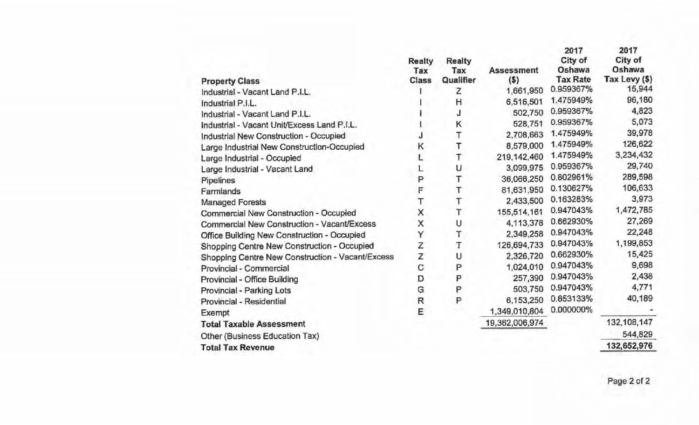| <b>Property Class</b>                            | <b>Realty</b><br>Tax<br><b>Class</b> | <b>Realty</b><br>Tax<br>Qualifier | <b>Assessment</b><br>$($ \$) | 2017<br>City of<br>Oshawa<br><b>Tax Rate</b> | 2017<br>City of<br>Oshawa<br>Tax Levy (\$) |
|--------------------------------------------------|--------------------------------------|-----------------------------------|------------------------------|----------------------------------------------|--------------------------------------------|
| Industrial - Vacant Land P.I.L.                  |                                      | z                                 | 1,661,950                    | 0.959367%                                    | 15,944                                     |
| Industrial P.I.L.                                |                                      | Η                                 | 6,516,501                    | 1.475949%                                    | 96,180                                     |
| Industrial - Vacant Land P.I.L.                  |                                      | J                                 | 502,750                      | 0.959367%                                    | 4,823                                      |
| Industrial - Vacant Unit/Excess Land P.I.L.      |                                      | К                                 | 528,751                      | 0.959367%                                    | 5,073                                      |
| Industrial New Construction - Occupied           |                                      | Т                                 | 2,708,663                    | 1.475949%                                    | 39,978                                     |
| Large Industrial New Construction-Occupied       | κ                                    | Т                                 | 8,579,000                    | 1.475949%                                    | 126,622                                    |
| Large Industrial - Occupied                      |                                      | T                                 | 219, 142, 460                | 1.475949%                                    | 3,234,432                                  |
| Large Industrial - Vacant Land                   |                                      | U                                 | 3,099,975                    | 0.959367%                                    | 29,740                                     |
| Pipelines                                        | P                                    | Т                                 | 36,066,250                   | 0.802961%                                    | 289,598                                    |
| Farmlands                                        | F                                    | T                                 | 81,631,950                   | 0.130627%                                    | 106,633                                    |
| <b>Managed Forests</b>                           | Т                                    | Τ                                 | 2,433,500                    | 0.163283%                                    | 3,973                                      |
| Commercial New Construction - Occupied           | Χ                                    | T                                 | 155,514,161                  | 0.947043%                                    | 1,472,785                                  |
| Commercial New Construction - Vacant/Excess      | X                                    | U                                 | 4,113,378                    | 0.662930%                                    | 27,269                                     |
| Office Building New Construction - Occupied      | Υ                                    | Τ                                 | 2,349,258                    | 0.947043%                                    | 22,248                                     |
| Shopping Centre New Construction - Occupied      | Z                                    | T                                 | 126,694,733                  | 0.947043%                                    | 1,199,853                                  |
| Shopping Centre New Construction - Vacant/Excess | Z                                    | υ                                 | 2,326,720                    | 0.662930%                                    | 15,425                                     |
| Provincial - Commercial                          | C                                    | P                                 | 1,024,010                    | 0.947043%                                    | 9,698                                      |
| Provincial - Office Building                     | D                                    | P                                 | 257,390                      | 0.947043%                                    | 2,438                                      |
| Provincial - Parking Lots                        | G                                    | P                                 | 503,750                      | 0.947043%                                    | 4,771                                      |
| Provincial - Residential                         | $\mathsf R$                          | P                                 | 6,153,250                    | 0.653133%                                    | 40,189                                     |
| Exempt                                           | E                                    |                                   | 1,349,010,804                | 0.000000%                                    |                                            |
| <b>Total Taxable Assessment</b>                  |                                      |                                   | 19,362,006,974               |                                              | 132, 108, 147                              |
| Other (Business Education Tax)                   |                                      |                                   |                              |                                              | 544,829                                    |
| <b>Total Tax Revenue</b>                         |                                      |                                   |                              |                                              | 132,652,976                                |
|                                                  |                                      |                                   |                              |                                              |                                            |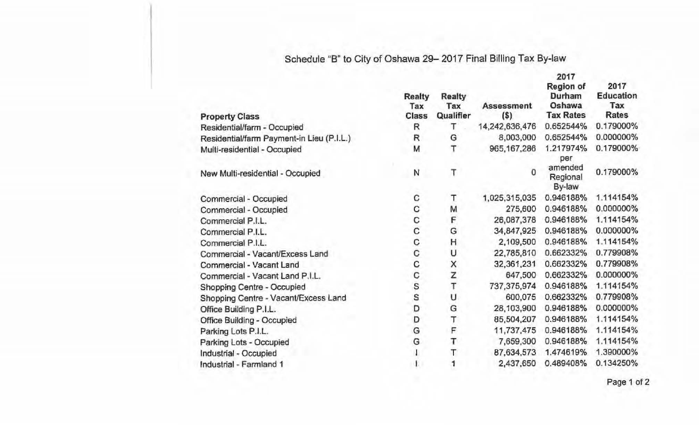## Schedule "B" to City of Oshawa 29- 2017 Final Billing Tax By-law

| <b>Property Class</b>                     | <b>Realty</b><br>Tax<br><b>Class</b> | Realty<br>Tax<br>Qualifier | <b>Assessment</b><br>$($)$ | 2017<br><b>Region of</b><br>Durham<br>Oshawa<br><b>Tax Rates</b> | 2017<br><b>Education</b><br>Tax<br><b>Rates</b> |
|-------------------------------------------|--------------------------------------|----------------------------|----------------------------|------------------------------------------------------------------|-------------------------------------------------|
| Residential/farm - Occupied               | R                                    | т                          | 14,242,636,476             | 0.652544%                                                        | 0.179000%                                       |
| Residential/farm Payment-in Lieu (P.I.L.) | R                                    | G                          | 8,003,000                  | 0.652544%                                                        | 0.000000%                                       |
| Multi-residential - Occupied              | M                                    | Т                          | 965, 167, 286              | 1.217974%<br>per                                                 | 0.179000%                                       |
| New Multi-residential - Occupied          | N                                    | T                          | 0                          | amended<br>Regional<br>By-law                                    | 0.179000%                                       |
| Commercial - Occupied                     | С                                    | Τ                          | 1,025,315,035              | 0.946188%                                                        | 1.114154%                                       |
| Commercial - Occupied                     | C                                    | M                          | 275,600                    | 0.946188%                                                        | 0.000000%                                       |
| Commercial P.I.L.                         | С                                    | F                          | 26,087,378                 | 0.946188%                                                        | 1.114154%                                       |
| Commercial P.I.L.                         | $\mathbf{C}$                         | G                          | 34,847,925                 | 0.946188%                                                        | 0.000000%                                       |
| Commercial P.I.L.                         | C                                    | Η                          | 2,109,500                  | 0.946188%                                                        | 1.114154%                                       |
| Commercial - Vacant/Excess Land           | C                                    | U                          | 22,785,810                 | 0.662332%                                                        | 0.779908%                                       |
| Commercial - Vacant Land                  | C                                    |                            | 32,361,231                 | 0.662332%                                                        | 0.779908%                                       |
| Commercial - Vacant Land P.I.L.           | C                                    | X<br>Z                     | 647,500                    | 0.662332%                                                        | 0.000000%                                       |
| Shopping Centre - Occupied                | ເດ<br>ຣ                              | T                          | 737,375,974                | 0.946188%                                                        | 1.114154%                                       |
| Shopping Centre - Vacant/Excess Land      |                                      | U                          | 600,075                    | 0.662332%                                                        | 0.779908%                                       |
| Office Building P.I.L.                    | D                                    | G                          | 28,103,900                 | 0.946188%                                                        | 0.000000%                                       |
| <b>Office Building - Occupied</b>         | D                                    | T                          | 85,504,207                 | 0.946188%                                                        | 1.114154%                                       |
| Parking Lots P.I.L.                       | G                                    | F                          | 11,737,475                 | 0.946188%                                                        | 1.114154%                                       |
| Parking Lots - Occupied                   | G                                    | T                          | 7,659,300                  | 0.946188%                                                        | 1.114154%                                       |
| Industrial - Occupied                     |                                      | T                          | 87,634,573                 | 1.474619%                                                        | 1.390000%                                       |
| Industrial - Farmland 1                   |                                      | 1                          | 2,437,650                  | 0.489408%                                                        | 0.134250%                                       |

Page 1 of 2